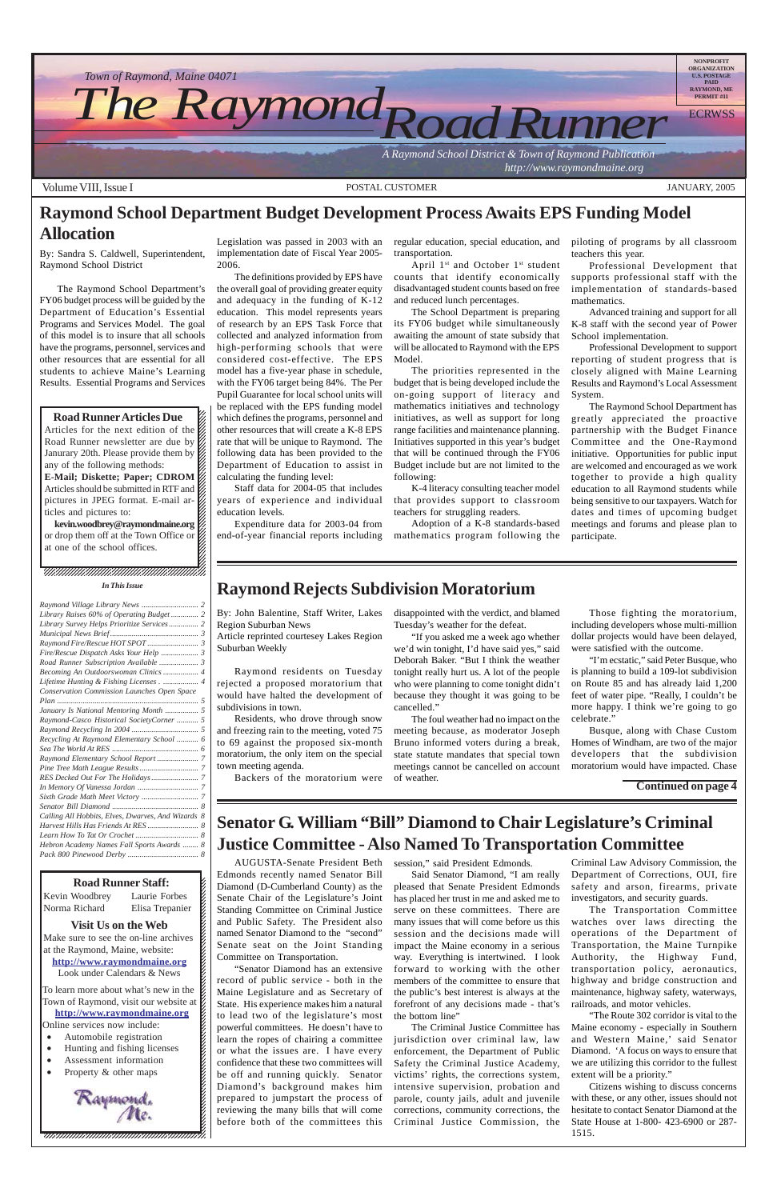#### 12345678901234567890123456789012345678901234567890123456789012345678901234567890123456789012345678901234567890 12345678901234567890123456789012123456789012345678

#### **Road Runner Staff:** 12345678901234567890123456789012123456789012345678

Kevin Woodbrey Laurie Forbes K Norma Richard – Elisa Trenanier K Norma Richard Elisa Trepanier  $\cancel{\epsilon}$ 

### 12345678901234567890123456789012123456789012345678

**Solution** Visit Us on the Web Make sure to see the on-line archives  $\sharp$ at the Raymond, Maine, website:  $\mathcal{E}$ http://www.raymondmaine.org Look under Calendars & News  $\mathcal{E}$ 12345678901234567890123456789012123456789012345678

To learn more about what's new in the  $\mathcal{L}$ 12345678901234567890123456789012123456789012345678 Town of Raymond, visit our website at  $\cancel{\epsilon}$ http://www.raymondmaine.org Online services now include:  $\mathcal{E}$ 

 $\blacksquare$ 

- 12345678901234567890123456789012123456789012345678 • Automobile registration
- $\bullet$  Hunting and fishing licenses  $\sharp$
- Assessment information
- 12345678901234567890123456789012123456789012345678 • Property & other maps

12345678901234567890123456789012123456789012345678



 $1235678901234587890123456789012345678901234567890123456789012345678901234567890123456789012345678901234567890123456789012345678901234567890123456789012345678901234567890123456789012345678901234567890123456789012345678901$ 12345678901234567890123456789012123456789012345678  $18.8$  8  $18.8$  8  $18.8$  8  $18.8$  8  $18.8$  8  $18.8$  8  $18.8$  8  $18.8$  8  $18.8$  8  $18.8$  8  $18.8$  8  $18.8$  8  $18.8$  8  $18.8$  8  $18.8$  8  $18.8$  8  $18.8$  8  $18.8$  8  $18.8$  8  $18.8$  8  $18.8$  8  $18.8$  8  $18.8$  8  $18.8$  8  $18.8$ 12345678901234567890123456789012123456789012345678 12345678901234567890123456789012123456789012345678



# **Raymond School Department Budget Development Process Awaits EPS Funding Model Allocation** Legislation was passed in 2003 with an

April  $1^{st}$  and October  $1^{st}$  student counts that identify economically disadvantaged student counts based on free and reduced lunch percentages.

AUGUSTA-Senate President Beth session," said President Edmonds. Edmonds recently named Senator Bill

#### , 123456789123456789123456789123456789123456789123 *In This Issue*

Diamond (D-Cumberland County) as the Senate Chair of the Legislature's Joint Standing Committee on Criminal Justice and Public Safety. The President also named Senator Diamond to the "second" Senate seat on the Joint Standing Committee on Transportation.

"Senator Diamond has an extensive record of public service - both in the Maine Legislature and as Secretary of State. His experience makes him a natural to lead two of the legislature's most powerful committees. He doesn't have to learn the ropes of chairing a committee or what the issues are. I have every confidence that these two committees will be off and running quickly. Senator Diamond's background makes him prepared to jumpstart the process of reviewing the many bills that will come before both of the committees this

### **Senator G. William "Bill" Diamond to Chair Legislature's Criminal Justice Committee - Also Named To Transportation Committee**

Said Senator Diamond, "I am really pleased that Senate President Edmonds has placed her trust in me and asked me to serve on these committees. There are many issues that will come before us this session and the decisions made will impact the Maine economy in a serious way. Everything is intertwined. I look forward to working with the other members of the committee to ensure that the public's best interest is always at the forefront of any decisions made - that's the bottom line" The Criminal Justice Committee has jurisdiction over criminal law, law enforcement, the Department of Public Safety the Criminal Justice Academy, victims' rights, the corrections system, intensive supervision, probation and parole, county jails, adult and juvenile corrections, community corrections, the Criminal Justice Commission, the

Criminal Law Advisory Commission, the Department of Corrections, OUI, fire

safety and arson, firearms, private investigators, and security guards.

The Transportation Committee watches over laws directing the operations of the Department of Transportation, the Maine Turnpike Authority, the Highway Fund, transportation policy, aeronautics, highway and bridge construction and maintenance, highway safety, waterways, railroads, and motor vehicles.

"The Route 302 corridor is vital to the Maine economy - especially in Southern and Western Maine,' said Senator Diamond. 'A focus on ways to ensure that we are utilizing this corridor to the fullest extent will be a priority."

Citizens wishing to discuss concerns with these, or any other, issues should not hesitate to contact Senator Diamond at the State House at 1-800- 423-6900 or 287- 1515.

By: Sandra S. Caldwell, Superintendent, Raymond School District

The Raymond School Department's FY06 budget process will be guided by the Department of Education's Essential Programs and Services Model. The goal of this model is to insure that all schools have the programs, personnel, services and other resources that are essential for all students to achieve Maine's Learning Results. Essential Programs and Services

12345678901234567890123456789012345678901234567890123456789012345678901234567890123456789012345678901234567890

**Road Runner Articles Due** Articles for the next edition of the  $\mathbb Z$  $1235678901234567890123456789012345678901234567890123456789012345678901234567890123456789012345678901234567890123456789012345678901234567890123456789012345678901234567890123456789012345678901234567890123456789012345678901$ Road Runner newsletter are due by  $\%$ Janurary 20th. Please provide them by  $\cancel{\mathscr{C}}$ any of the following methods:  $\mathscr{L}$ **E-Mail; Diskette; Paper; CDROM** 12345678901234567890123456789012123456789012345678 Articles should be submitted in RTF and  $\mathscr{L}$ pictures in JPEG format. E-mail ar- $\mathscr{L}$ ticles and pictures to:  $1235678901234567890123456789012345678901234567890123456789012345678901234567890123456789012345678901234567890123456789012345678901234567890123456789012345678901234567890123456789012345678901234567890123456789012345678901$ 

kevin.woodbrey@raymondmaine.org or drop them off at the Town Office or  $\mathscr{G}$  $1235678901234567890123456789012345678901234567890123456789012345678901234567890123456789012345678901234567890123456789012345678901234567890123456789012345678901234567890123456789012345678901234567890123456789012345678901$ at one of the school offices.  $\mathscr{L}$  implementation date of Fiscal Year 2005- 2006.

The definitions provided by EPS have the overall goal of providing greater equity and adequacy in the funding of K-12 education. This model represents years of research by an EPS Task Force that collected and analyzed information from high-performing schools that were considered cost-effective. The EPS model has a five-year phase in schedule, with the FY06 target being 84%. The Per Pupil Guarantee for local school units will be replaced with the EPS funding model which defines the programs, personnel and other resources that will create a K-8 EPS rate that will be unique to Raymond. The following data has been provided to the Department of Education to assist in calculating the funding level:

Staff data for 2004-05 that includes years of experience and individual education levels.

Expenditure data for 2003-04 from end-of-year financial reports including regular education, special education, and transportation.

The School Department is preparing its FY06 budget while simultaneously awaiting the amount of state subsidy that will be allocated to Raymond with the EPS Model.

The priorities represented in the budget that is being developed include the on-going support of literacy and mathematics initiatives and technology initiatives, as well as support for long range facilities and maintenance planning. Initiatives supported in this year's budget that will be continued through the FY06 Budget include but are not limited to the following:

K-4 literacy consulting teacher model that provides support to classroom teachers for struggling readers.

Adoption of a K-8 standards-based mathematics program following the piloting of programs by all classroom teachers this year.

Professional Development that supports professional staff with the implementation of standards-based mathematics.

Advanced training and support for all K-8 staff with the second year of Power School implementation.

Professional Development to support reporting of student progress that is closely aligned with Maine Learning Results and Raymond's Local Assessment System.

The Raymond School Department has greatly appreciated the proactive partnership with the Budget Finance Committee and the One-Raymond initiative. Opportunities for public input are welcomed and encouraged as we work together to provide a high quality education to all Raymond students while being sensitive to our taxpayers. Watch for dates and times of upcoming budget meetings and forums and please plan to participate.

By: John Balentine, Staff Writer, Lakes Region Suburban News

Article reprinted courtesey Lakes Region Suburban Weekly

Raymond residents on Tuesday rejected a proposed moratorium that would have halted the development of subdivisions in town.

Residents, who drove through snow and freezing rain to the meeting, voted 75 to 69 against the proposed six-month moratorium, the only item on the special town meeting agenda.

Backers of the moratorium were

### **Raymond Rejects Subdivision Moratorium**

disappointed with the verdict, and blamed Tuesday's weather for the defeat.

"If you asked me a week ago whether we'd win tonight, I'd have said yes," said Deborah Baker. "But I think the weather tonight really hurt us. A lot of the people who were planning to come tonight didn't because they thought it was going to be cancelled."

The foul weather had no impact on the meeting because, as moderator Joseph Bruno informed voters during a break, state statute mandates that special town meetings cannot be cancelled on account of weather.

Those fighting the moratorium, including developers whose multi-million dollar projects would have been delayed, were satisfied with the outcome.

"I'm ecstatic," said Peter Busque, who is planning to build a 109-lot subdivision on Route 85 and has already laid 1,200 feet of water pipe. "Really, I couldn't be more happy. I think we're going to go celebrate."

Busque, along with Chase Custom Homes of Windham, are two of the major developers that the subdivision moratorium would have impacted. Chase

**Continued on page 4**

| Library Raises 60% of Operating Budget 2           |  |
|----------------------------------------------------|--|
| Library Survey Helps Prioritize Services 2         |  |
|                                                    |  |
|                                                    |  |
| Fire/Rescue Dispatch Asks Your Help  3             |  |
| Road Runner Subscription Available  3              |  |
| Becoming An Outdoorswoman Clinics  4               |  |
| Lifetime Hunting & Fishing Licenses 4              |  |
| Conservation Commission Launches Open Space        |  |
|                                                    |  |
| January Is National Mentoring Month  5             |  |
| Raymond-Casco Historical SocietyCorner  5          |  |
|                                                    |  |
|                                                    |  |
| Recycling At Raymond Elementary School  6          |  |
|                                                    |  |
| Raymond Elementary School Report  7                |  |
|                                                    |  |
|                                                    |  |
|                                                    |  |
|                                                    |  |
|                                                    |  |
| Calling All Hobbits, Elves, Dwarves, And Wizards 8 |  |
|                                                    |  |
|                                                    |  |
| Hebron Academy Names Fall Sports Awards  8         |  |
|                                                    |  |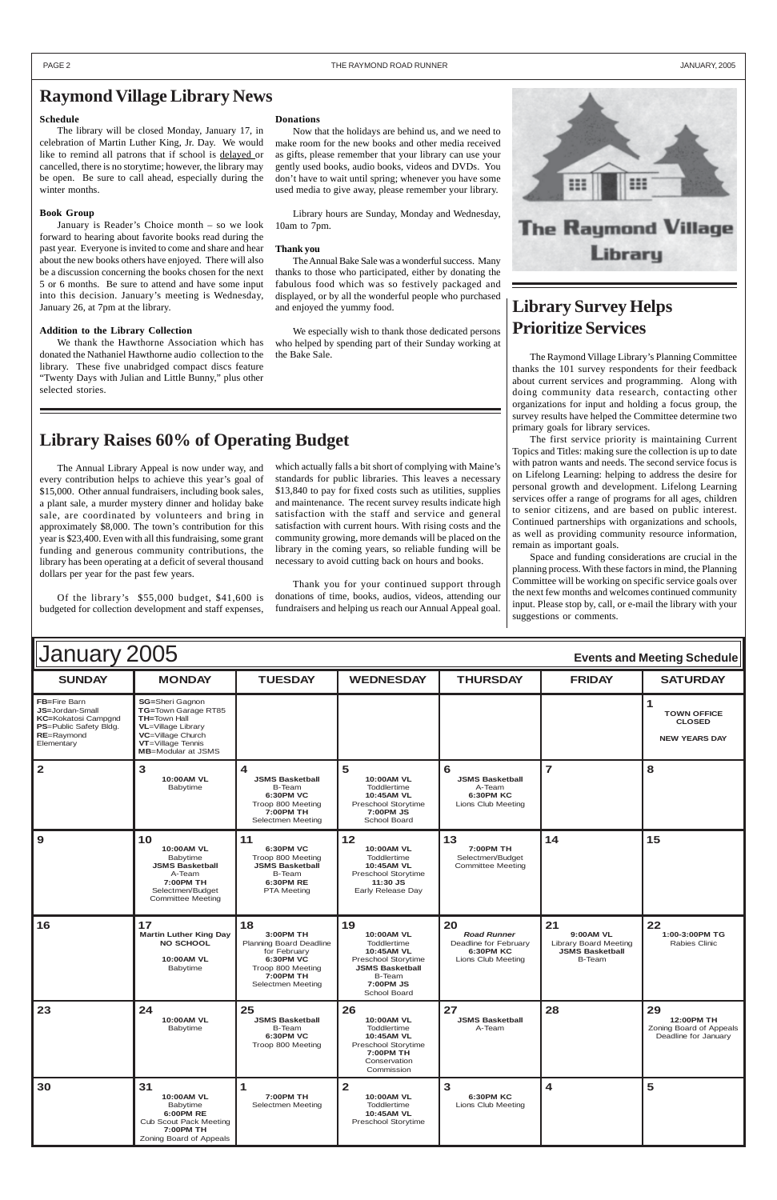| January 2005<br><b>Events and Meeting Schedule</b>                                                                         |                                                                                                                                                                            |                                                                                                                                       |                                                                                                                                                     |                                                                                             |                                                                                            |                                                                     |
|----------------------------------------------------------------------------------------------------------------------------|----------------------------------------------------------------------------------------------------------------------------------------------------------------------------|---------------------------------------------------------------------------------------------------------------------------------------|-----------------------------------------------------------------------------------------------------------------------------------------------------|---------------------------------------------------------------------------------------------|--------------------------------------------------------------------------------------------|---------------------------------------------------------------------|
| <b>SUNDAY</b>                                                                                                              | <b>MONDAY</b>                                                                                                                                                              | <b>TUESDAY</b>                                                                                                                        | <b>WEDNESDAY</b>                                                                                                                                    | <b>THURSDAY</b>                                                                             | <b>FRIDAY</b>                                                                              | <b>SATURDAY</b>                                                     |
| FB=Fire Barn<br><b>JS=Jordan-Small</b><br><b>KC=Kokatosi Campgnd</b><br>PS=Public Safety Bldg.<br>RE=Raymond<br>Elementary | <b>SG=Sheri Gagnon</b><br>TG=Town Garage RT85<br><b>TH=Town Hall</b><br><b>VL</b> =Village Library<br>VC=Village Church<br>VT=Village Tennis<br><b>MB</b> =Modular at JSMS |                                                                                                                                       |                                                                                                                                                     |                                                                                             |                                                                                            | 1<br><b>TOWN OFFICE</b><br><b>CLOSED</b><br><b>NEW YEARS DAY</b>    |
| $\overline{2}$                                                                                                             | 3<br>10:00AM VL<br><b>Babytime</b>                                                                                                                                         | 4<br><b>JSMS Basketball</b><br>B-Team<br><b>6:30PM VC</b><br>Troop 800 Meeting<br>7:00PM TH<br>Selectmen Meeting                      | 5<br>10:00AM VL<br>Toddlertime<br>10:45AM VL<br>Preschool Storytime<br>7:00PM JS<br>School Board                                                    | 6<br><b>JSMS Basketball</b><br>A-Team<br><b>6:30PM KC</b><br>Lions Club Meeting             | $\overline{7}$                                                                             | 8                                                                   |
| $\mathbf{9}$                                                                                                               | 10<br>10:00AM VL<br>Babytime<br><b>JSMS Basketball</b><br>A-Team<br>7:00PM TH<br>Selectmen/Budget<br><b>Committee Meeting</b>                                              | 11<br>6:30PM VC<br>Troop 800 Meeting<br><b>JSMS Basketball</b><br><b>B-Team</b><br>6:30PM RE<br><b>PTA Meeting</b>                    | 12<br><b>10:00AM VL</b><br>Toddlertime<br>10:45AM VL<br>Preschool Storytime<br>11:30 JS<br>Early Release Day                                        | 13<br>7:00PM TH<br>Selectmen/Budget<br><b>Committee Meeting</b>                             | 14                                                                                         | 15                                                                  |
| 16                                                                                                                         | 17<br><b>Martin Luther King Day</b><br><b>NO SCHOOL</b><br>10:00AM VL<br><b>Babytime</b>                                                                                   | 18<br>3:00PM TH<br>Planning Board Deadline<br>for February<br><b>6:30PM VC</b><br>Troop 800 Meeting<br>7:00PM TH<br>Selectmen Meeting | 19<br>10:00AM VL<br>Toddlertime<br>10:45AM VL<br>Preschool Storytime<br><b>JSMS Basketball</b><br><b>B-Team</b><br><b>7:00PM JS</b><br>School Board | 20<br><b>Road Runner</b><br>Deadline for February<br><b>6:30PM KC</b><br>Lions Club Meeting | 21<br>9:00AM VL<br><b>Library Board Meeting</b><br><b>JSMS Basketball</b><br><b>B-Team</b> | 22<br>1:00-3:00PM TG<br>Rabies Clinic                               |
| 23                                                                                                                         | 24<br>10:00AM VL<br><b>Babytime</b>                                                                                                                                        | 25<br><b>JSMS Basketball</b><br><b>B-Team</b><br><b>6:30PM VC</b><br>Troop 800 Meeting                                                | 26<br>10:00AM VL<br>Toddlertime<br>10:45AM VL<br>Preschool Storytime<br>7:00PM TH<br>Conservation<br>Commission                                     | 27<br><b>JSMS Basketball</b><br>A-Team                                                      | 28                                                                                         | 29<br>12:00PM TH<br>Zoning Board of Appeals<br>Deadline for January |
| 30                                                                                                                         | 31<br>10:00AM VL<br>Babytime<br><b>6:00PM RE</b><br><b>Cub Scout Pack Meeting</b><br>7:00PM TH<br>Zoning Board of Appeals                                                  | 1<br>7:00PM TH<br>Selectmen Meeting                                                                                                   | $\overline{2}$<br>10:00AM VL<br>Toddlertime<br>10:45AM VL<br>Preschool Storytime                                                                    | 3<br><b>6:30PM KC</b><br>Lions Club Meeting                                                 | 4                                                                                          | 5                                                                   |

### **Schedule**

The library will be closed Monday, January 17, in celebration of Martin Luther King, Jr. Day. We would like to remind all patrons that if school is delayed or cancelled, there is no storytime; however, the library may be open. Be sure to call ahead, especially during the winter months.

#### **Book Group**

January is Reader's Choice month – so we look forward to hearing about favorite books read during the past year. Everyone is invited to come and share and hear about the new books others have enjoyed. There will also be a discussion concerning the books chosen for the next 5 or 6 months. Be sure to attend and have some input into this decision. January's meeting is Wednesday, January 26, at 7pm at the library.

#### **Addition to the Library Collection**

We thank the Hawthorne Association which has donated the Nathaniel Hawthorne audio collection to the library. These five unabridged compact discs feature "Twenty Days with Julian and Little Bunny," plus other selected stories.

### **Raymond Village Library News**

#### **Donations**

Now that the holidays are behind us, and we need to make room for the new books and other media received as gifts, please remember that your library can use your gently used books, audio books, videos and DVDs. You don't have to wait until spring; whenever you have some used media to give away, please remember your library.

Library hours are Sunday, Monday and Wednesday, 10am to 7pm.

#### **Thank you**

The Annual Bake Sale was a wonderful success. Many thanks to those who participated, either by donating the fabulous food which was so festively packaged and displayed, or by all the wonderful people who purchased and enjoyed the yummy food.

We especially wish to thank those dedicated persons who helped by spending part of their Sunday working at the Bake Sale.

## **Library Survey Helps Prioritize Services**

The Raymond Village Library's Planning Committee thanks the 101 survey respondents for their feedback about current services and programming. Along with doing community data research, contacting other organizations for input and holding a focus group, the survey results have helped the Committee determine two primary goals for library services.

The first service priority is maintaining Current Topics and Titles: making sure the collection is up to date with patron wants and needs. The second service focus is on Lifelong Learning: helping to address the desire for personal growth and development. Lifelong Learning services offer a range of programs for all ages, children to senior citizens, and are based on public interest. Continued partnerships with organizations and schools, as well as providing community resource information, remain as important goals.

Space and funding considerations are crucial in the planning process. With these factors in mind, the Planning Committee will be working on specific service goals over the next few months and welcomes continued community input. Please stop by, call, or e-mail the library with your suggestions or comments.

The Annual Library Appeal is now under way, and every contribution helps to achieve this year's goal of \$15,000. Other annual fundraisers, including book sales, a plant sale, a murder mystery dinner and holiday bake sale, are coordinated by volunteers and bring in approximately \$8,000. The town's contribution for this year is \$23,400. Even with all this fundraising, some grant funding and generous community contributions, the library has been operating at a deficit of several thousand dollars per year for the past few years.

Of the library's \$55,000 budget, \$41,600 is budgeted for collection development and staff expenses,

which actually falls a bit short of complying with Maine's standards for public libraries. This leaves a necessary \$13,840 to pay for fixed costs such as utilities, supplies and maintenance. The recent survey results indicate high satisfaction with the staff and service and general satisfaction with current hours. With rising costs and the community growing, more demands will be placed on the library in the coming years, so reliable funding will be necessary to avoid cutting back on hours and books.

Thank you for your continued support through donations of time, books, audios, videos, attending our fundraisers and helping us reach our Annual Appeal goal.



### **Library Raises 60% of Operating Budget**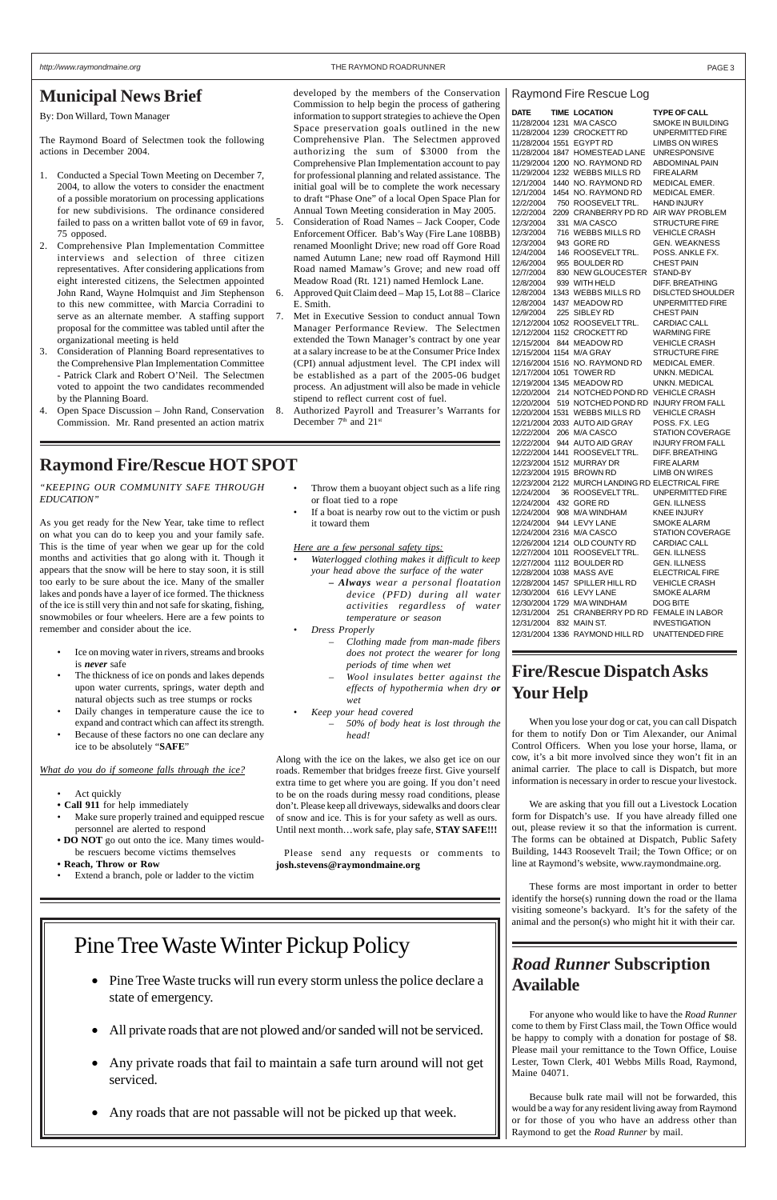By: Don Willard, Town Manager

The Raymond Board of Selectmen took the following actions in December 2004.

- 1. Conducted a Special Town Meeting on December 7, 2004, to allow the voters to consider the enactment of a possible moratorium on processing applications for new subdivisions. The ordinance considered failed to pass on a written ballot vote of 69 in favor, 75 opposed.
- 2. Comprehensive Plan Implementation Committee interviews and selection of three citizen representatives. After considering applications from eight interested citizens, the Selectmen appointed John Rand, Wayne Holmquist and Jim Stephenson to this new committee, with Marcia Corradini to serve as an alternate member. A staffing support proposal for the committee was tabled until after the organizational meeting is held
- 3. Consideration of Planning Board representatives to the Comprehensive Plan Implementation Committee - Patrick Clark and Robert O'Neil. The Selectmen voted to appoint the two candidates recommended by the Planning Board.
- 4. Open Space Discussion John Rand, Conservation Commission. Mr. Rand presented an action matrix
- 5. Consideration of Road Names Jack Cooper, Code Enforcement Officer. Bab's Way (Fire Lane 108BB) renamed Moonlight Drive; new road off Gore Road named Autumn Lane; new road off Raymond Hill Road named Mamaw's Grove; and new road off Meadow Road (Rt. 121) named Hemlock Lane.
- 6. Approved Quit Claim deed Map 15, Lot 88 Clarice E. Smith.
- 7. Met in Executive Session to conduct annual Town Manager Performance Review. The Selectmen extended the Town Manager's contract by one year at a salary increase to be at the Consumer Price Index (CPI) annual adjustment level. The CPI index will be established as a part of the 2005-06 budget process. An adjustment will also be made in vehicle stipend to reflect current cost of fuel.
- 8. Authorized Payroll and Treasurer's Warrants for December 7<sup>th</sup> and 21<sup>st</sup>

developed by the members of the Conservation Commission to help begin the process of gathering information to support strategies to achieve the Open Space preservation goals outlined in the new Comprehensive Plan. The Selectmen approved authorizing the sum of \$3000 from the Comprehensive Plan Implementation account to pay for professional planning and related assistance. The initial goal will be to complete the work necessary to draft "Phase One" of a local Open Space Plan for Annual Town Meeting consideration in May 2005.

- Ice on moving water in rivers, streams and brooks is *never* safe
- The thickness of ice on ponds and lakes depends upon water currents, springs, water depth and natural objects such as tree stumps or rocks
- Daily changes in temperature cause the ice to expand and contract which can affect its strength.
- Because of these factors no one can declare any ice to be absolutely "**SAFE**"
- Throw them a buoyant object such as a life ring or float tied to a rope
- If a boat is nearby row out to the victim or push it toward them

### **Municipal News Brief**

*"KEEPING OUR COMMUNITY SAFE THROUGH EDUCATION"*

As you get ready for the New Year, take time to reflect on what you can do to keep you and your family safe. This is the time of year when we gear up for the cold months and activities that go along with it. Though it appears that the snow will be here to stay soon, it is still too early to be sure about the ice. Many of the smaller lakes and ponds have a layer of ice formed. The thickness of the ice is still very thin and not safe for skating, fishing, snowmobiles or four wheelers. Here are a few points to remember and consider about the ice.

#### *What do you do if someone falls through the ice?*

- Act quickly
- **Call 911** for help immediately
- Make sure properly trained and equipped rescue personnel are alerted to respond
- **DO NOT** go out onto the ice. Many times wouldbe rescuers become victims themselves
- **Reach, Throw or Row**
- Extend a branch, pole or ladder to the victim

### **Raymond Fire/Rescue HOT SPOT**

*Here are a few personal safety tips:*

- *Waterlogged clothing makes it difficult to keep your head above the surface of the water*
	- *Always wear a personal floatation device (PFD) during all water activities regardless of water temperature or season*
- *Dress Properly*
	- *Clothing made from man-made fibers does not protect the wearer for long periods of time when wet*
	- *Wool insulates better against the effects of hypothermia when dry or wet*
	- *Keep your head covered – 50% of body heat is lost through the*
	- *head!*

Along with the ice on the lakes, we also get ice on our roads. Remember that bridges freeze first. Give yourself extra time to get where you are going. If you don't need to be on the roads during messy road conditions, please don't. Please keep all driveways, sidewalks and doors clear of snow and ice. This is for your safety as well as ours. Until next month…work safe, play safe, **STAY SAFE!!!**

 Please send any requests or comments to **josh.stevens@raymondmaine.org**

| DATE            |     | <b>TIME LOCATION</b>                             | TYPE OF CALL             |
|-----------------|-----|--------------------------------------------------|--------------------------|
| 11/28/2004 1231 |     | M/A CASCO                                        | SMOKE IN BUILDING        |
|                 |     | 11/28/2004 1239 CROCKETT RD                      | UNPERMITTED FIRE         |
| 11/28/2004 1551 |     | <b>EGYPT RD</b>                                  | <b>LIMBS ON WIRES</b>    |
| 11/28/2004 1847 |     | <b>HOMESTEAD LANE</b>                            | UNRESPONSIVE             |
|                 |     | 11/29/2004 1200 NO. RAYMOND RD                   | ABDOMINAL PAIN           |
|                 |     | 11/29/2004 1232 WEBBS MILLS RD                   | <b>FIRE ALARM</b>        |
| 12/1/2004       |     | 1440 NO. RAYMOND RD                              | <b>MEDICAL EMER.</b>     |
| 12/1/2004       |     | 1454 NO. RAYMOND RD                              | MEDICAL EMER.            |
| 12/2/2004       |     | 750 ROOSEVELT TRL.                               | HAND INJURY              |
| 12/2/2004       |     | 2209 CRANBERRY PD RD                             | AIR WAY PROBLEM          |
| 12/3/2004       |     | 331 M/A CASCO                                    | <b>STRUCTURE FIRE</b>    |
| 12/3/2004       |     | 716 WEBBS MILLS RD                               | VEHICLE CRASH            |
| 12/3/2004       |     | 943 GORE RD                                      | <b>GEN. WEAKNESS</b>     |
| 12/4/2004       |     | 146 ROOSEVELT TRL.                               | POSS. ANKLE FX.          |
| 12/6/2004       |     | 955 BOULDER RD                                   | CHEST PAIN               |
| 12/7/2004       |     | 830 NEW GLOUCESTER                               | STAND-BY                 |
| 12/8/2004       |     | 939 WITH HELD                                    | DIFF. BREATHING          |
| 12/8/2004       |     | 1343 WEBBS MILLS RD                              | <b>DISLCTED SHOULDER</b> |
| 12/8/2004       |     | 1437 MEADOW RD                                   | UNPERMITTED FIRE         |
| 12/9/2004       | 225 | SIBLEY RD                                        | <b>CHEST PAIN</b>        |
|                 |     | 12/12/2004 1052 ROOSEVELTTRL.                    | <b>CARDIAC CALL</b>      |
|                 |     | 12/12/2004 1152 CROCKETT RD                      | <b>WARMING FIRE</b>      |
| 12/15/2004      |     | 844 MEADOW RD                                    | VEHICLE CRASH            |
|                 |     | 12/15/2004 1154 M/A GRAY                         | <b>STRUCTURE FIRE</b>    |
|                 |     | 12/16/2004 1516 NO. RAYMOND RD                   | MEDICAL EMER.            |
| 12/17/2004 1051 |     | TOWER RD                                         | UNKN. MEDICAL            |
|                 |     | 12/19/2004 1345 MEADOW RD                        | UNKN. MEDICAL            |
| 12/20/2004      | 214 | NOTCHED POND RD                                  | <b>VEHICLE CRASH</b>     |
| 12/20/2004      |     | 519 NOTCHED POND RD                              | <b>INJURY FROM FALL</b>  |
| 12/20/2004 1531 |     | <b>WEBBS MILLS RD</b>                            | <b>VEHICLE CRASH</b>     |
|                 |     | 12/21/2004 2033 AUTO AID GRAY                    | POSS. FX. LEG            |
| 12/22/2004      |     | 206 M/A CASCO                                    | <b>STATION COVERAGE</b>  |
| 12/22/2004      | 944 | <b>AUTO AID GRAY</b>                             | <b>INJURY FROM FALL</b>  |
| 12/22/2004 1441 |     | ROOSEVELT TRL.                                   | DIFF. BREATHING          |
|                 |     | 12/23/2004 1512 MURRAY DR                        | <b>FIRE ALARM</b>        |
|                 |     | 12/23/2004 1915 BROWN RD                         | LIMB ON WIRES            |
|                 |     | 12/23/2004 2122 MURCH LANDING RD ELECTRICAL FIRE |                          |
| 12/24/2004      | 36  | ROOSEVELT TRL.                                   | UNPERMITTED FIRE         |
| 12/24/2004      |     | 432 GORE RD                                      | GEN. ILLNESS             |
| 12/24/2004      |     | 908 M/A WINDHAM                                  | <b>KNEE INJURY</b>       |
| 12/24/2004      |     | 944 LEVY LANE                                    | SMOKE ALARM              |
|                 |     | 12/24/2004 2316 M/A CASCO                        | <b>STATION COVERAGE</b>  |
|                 |     | 12/26/2004 1214 OLD COUNTY RD                    | CARDIAC CALL             |
|                 |     | 12/27/2004 1011 ROOSEVELT TRL.                   | <b>GEN. ILLNESS</b>      |
|                 |     | 12/27/2004 1112 BOULDER RD                       | <b>GEN. ILLNESS</b>      |
|                 |     | 12/28/2004 1038 MASS AVE                         | <b>ELECTRICAL FIRE</b>   |
|                 |     | 12/28/2004 1457 SPILLER HILL RD                  | <b>VEHICLE CRASH</b>     |
|                 |     | 12/30/2004 616 LEVY LANE                         | <b>SMOKE ALARM</b>       |
|                 |     | 12/30/2004 1729 M/A WINDHAM                      | DOG BITE                 |
|                 |     | 12/31/2004 251 CRANBERRY PD RD FEMALE IN LABOR   |                          |
| 12/31/2004      |     | 832 MAIN ST.                                     | <b>INVESTIGATION</b>     |
|                 |     | 12/31/2004 1336 RAYMOND HILL RD UNATTENDED FIRE  |                          |

#### Raymond Fire Rescue Log

## **Fire/Rescue Dispatch Asks Your Help**

When you lose your dog or cat, you can call Dispatch for them to notify Don or Tim Alexander, our Animal Control Officers. When you lose your horse, llama, or cow, it's a bit more involved since they won't fit in an animal carrier. The place to call is Dispatch, but more information is necessary in order to rescue your livestock.

We are asking that you fill out a Livestock Location form for Dispatch's use. If you have already filled one out, please review it so that the information is current. The forms can be obtained at Dispatch, Public Safety Building, 1443 Roosevelt Trail; the Town Office; or on line at Raymond's website, www.raymondmaine.org.

These forms are most important in order to better identify the horse(s) running down the road or the llama visiting someone's backyard. It's for the safety of the animal and the person(s) who might hit it with their car.

*Road Runner* **Subscription Available**

For anyone who would like to have the *Road Runner* come to them by First Class mail, the Town Office would be happy to comply with a donation for postage of \$8. Please mail your remittance to the Town Office, Louise Lester, Town Clerk, 401 Webbs Mills Road, Raymond, Maine 04071.

Because bulk rate mail will not be forwarded, this would be a way for any resident living away from Raymond or for those of you who have an address other than Raymond to get the *Road Runner* by mail.

# Pine Tree Waste Winter Pickup Policy

- Pine Tree Waste trucks will run every storm unless the police declare a state of emergency.
- All private roads that are not plowed and/or sanded will not be serviced.
- Any private roads that fail to maintain a safe turn around will not get serviced.
- Any roads that are not passable will not be picked up that week.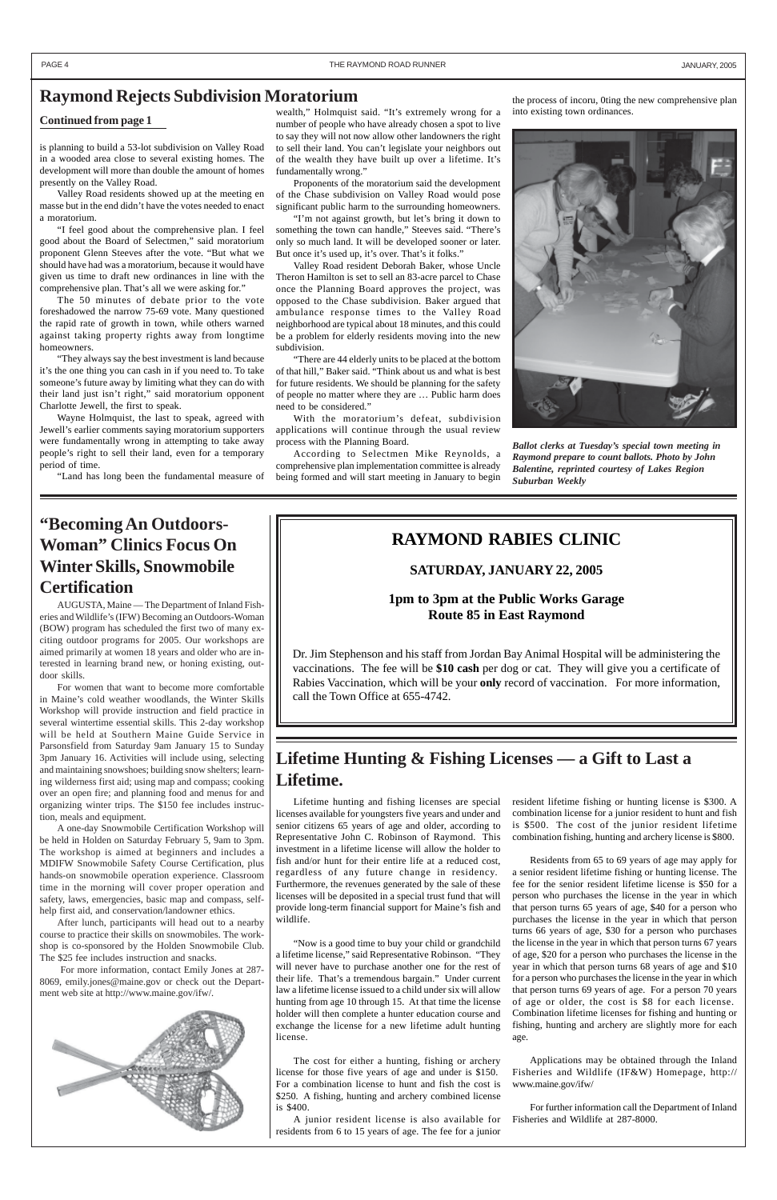is planning to build a 53-lot subdivision on Valley Road in a wooded area close to several existing homes. The development will more than double the amount of homes presently on the Valley Road.

Valley Road residents showed up at the meeting en masse but in the end didn't have the votes needed to enact a moratorium.

"I feel good about the comprehensive plan. I feel good about the Board of Selectmen," said moratorium proponent Glenn Steeves after the vote. "But what we should have had was a moratorium, because it would have given us time to draft new ordinances in line with the comprehensive plan. That's all we were asking for."

The 50 minutes of debate prior to the vote foreshadowed the narrow 75-69 vote. Many questioned the rapid rate of growth in town, while others warned against taking property rights away from longtime homeowners.

"They always say the best investment is land because it's the one thing you can cash in if you need to. To take someone's future away by limiting what they can do with their land just isn't right," said moratorium opponent Charlotte Jewell, the first to speak.

Wayne Holmquist, the last to speak, agreed with Jewell's earlier comments saying moratorium supporters were fundamentally wrong in attempting to take away people's right to sell their land, even for a temporary period of time.

"Land has long been the fundamental measure of

wealth," Holmquist said. "It's extremely wrong for a number of people who have already chosen a spot to live to say they will not now allow other landowners the right to sell their land. You can't legislate your neighbors out of the wealth they have built up over a lifetime. It's fundamentally wrong."

Proponents of the moratorium said the development of the Chase subdivision on Valley Road would pose significant public harm to the surrounding homeowners.

"I'm not against growth, but let's bring it down to something the town can handle," Steeves said. "There's only so much land. It will be developed sooner or later. But once it's used up, it's over. That's it folks."

Valley Road resident Deborah Baker, whose Uncle Theron Hamilton is set to sell an 83-acre parcel to Chase once the Planning Board approves the project, was opposed to the Chase subdivision. Baker argued that ambulance response times to the Valley Road neighborhood are typical about 18 minutes, and this could be a problem for elderly residents moving into the new subdivision.

"There are 44 elderly units to be placed at the bottom of that hill," Baker said. "Think about us and what is best for future residents. We should be planning for the safety of people no matter where they are … Public harm does need to be considered."

With the moratorium's defeat, subdivision applications will continue through the usual review process with the Planning Board.

According to Selectmen Mike Reynolds, a comprehensive plan implementation committee is already being formed and will start meeting in January to begin

### **Continued from page 1**

PAGE 4 THE RAYMOND ROAD RUNNER AND ROAD RUNNER AND ROAD RUNNER AND ROAD RUNNER AND ROAD RUNNER AND A LOAD AND A LOAD TO A LOAD AND A LOAD TO A LOAD AND A LOAD TO A LOAD TO A LOAD OF THE RAYMOND ROAD RUNNER AND A LOAD TO A

### **Raymond Rejects Subdivision Moratorium**

Lifetime hunting and fishing licenses are special licenses available for youngsters five years and under and senior citizens 65 years of age and older, according to Representative John C. Robinson of Raymond. This investment in a lifetime license will allow the holder to fish and/or hunt for their entire life at a reduced cost, regardless of any future change in residency. Furthermore, the revenues generated by the sale of these licenses will be deposited in a special trust fund that will provide long-term financial support for Maine's fish and wildlife.

"Now is a good time to buy your child or grandchild a lifetime license," said Representative Robinson. "They will never have to purchase another one for the rest of their life. That's a tremendous bargain." Under current law a lifetime license issued to a child under six will allow hunting from age 10 through 15. At that time the license holder will then complete a hunter education course and exchange the license for a new lifetime adult hunting license.

The cost for either a hunting, fishing or archery license for those five years of age and under is \$150. For a combination license to hunt and fish the cost is \$250. A fishing, hunting and archery combined license is \$400.

A junior resident license is also available for residents from 6 to 15 years of age. The fee for a junior

## **"Becoming An Outdoors-Woman" Clinics Focus On Winter Skills, Snowmobile Certification**

AUGUSTA, Maine — The Department of Inland Fisheries and Wildlife's (IFW) Becoming an Outdoors-Woman (BOW) program has scheduled the first two of many exciting outdoor programs for 2005. Our workshops are aimed primarily at women 18 years and older who are interested in learning brand new, or honing existing, outdoor skills.

For women that want to become more comfortable in Maine's cold weather woodlands, the Winter Skills Workshop will provide instruction and field practice in several wintertime essential skills. This 2-day workshop will be held at Southern Maine Guide Service in Parsonsfield from Saturday 9am January 15 to Sunday 3pm January 16. Activities will include using, selecting and maintaining snowshoes; building snow shelters; learning wilderness first aid; using map and compass; cooking over an open fire; and planning food and menus for and organizing winter trips. The \$150 fee includes instruction, meals and equipment.

A one-day Snowmobile Certification Workshop will be held in Holden on Saturday February 5, 9am to 3pm. The workshop is aimed at beginners and includes a MDIFW Snowmobile Safety Course Certification, plus hands-on snowmobile operation experience. Classroom

time in the morning will cover proper operation and safety, laws, emergencies, basic map and compass, selfhelp first aid, and conservation/landowner ethics.

After lunch, participants will head out to a nearby course to practice their skills on snowmobiles. The workshop is co-sponsored by the Holden Snowmobile Club. The \$25 fee includes instruction and snacks.

 For more information, contact Emily Jones at 287- 8069, emily.jones@maine.gov or check out the Department web site at http://www.maine.gov/ifw/.



### **RAYMOND RABIES CLINIC**

### **SATURDAY, JANUARY 22, 2005**

**1pm to 3pm at the Public Works Garage Route 85 in East Raymond**

Dr. Jim Stephenson and his staff from Jordan Bay Animal Hospital will be administering the vaccinations. The fee will be **\$10 cash** per dog or cat. They will give you a certificate of Rabies Vaccination, which will be your **only** record of vaccination. For more information, call the Town Office at 655-4742.

> resident lifetime fishing or hunting license is \$300. A combination license for a junior resident to hunt and fish is \$500. The cost of the junior resident lifetime combination fishing, hunting and archery license is \$800.

> Residents from 65 to 69 years of age may apply for a senior resident lifetime fishing or hunting license. The fee for the senior resident lifetime license is \$50 for a person who purchases the license in the year in which that person turns 65 years of age, \$40 for a person who purchases the license in the year in which that person turns 66 years of age, \$30 for a person who purchases the license in the year in which that person turns 67 years of age, \$20 for a person who purchases the license in the year in which that person turns 68 years of age and \$10 for a person who purchases the license in the year in which that person turns 69 years of age. For a person 70 years of age or older, the cost is \$8 for each license. Combination lifetime licenses for fishing and hunting or fishing, hunting and archery are slightly more for each age.

Applications may be obtained through the Inland Fisheries and Wildlife (IF&W) Homepage, http:// www.maine.gov/ifw/

For further information call the Department of Inland Fisheries and Wildlife at 287-8000.

### **Lifetime Hunting & Fishing Licenses — a Gift to Last a Lifetime.**

*Ballot clerks at Tuesday's special town meeting in Raymond prepare to count ballots. Photo by John Balentine, reprinted courtesy of Lakes Region Suburban Weekly*

the process of incoru, 0ting the new comprehensive plan into existing town ordinances.

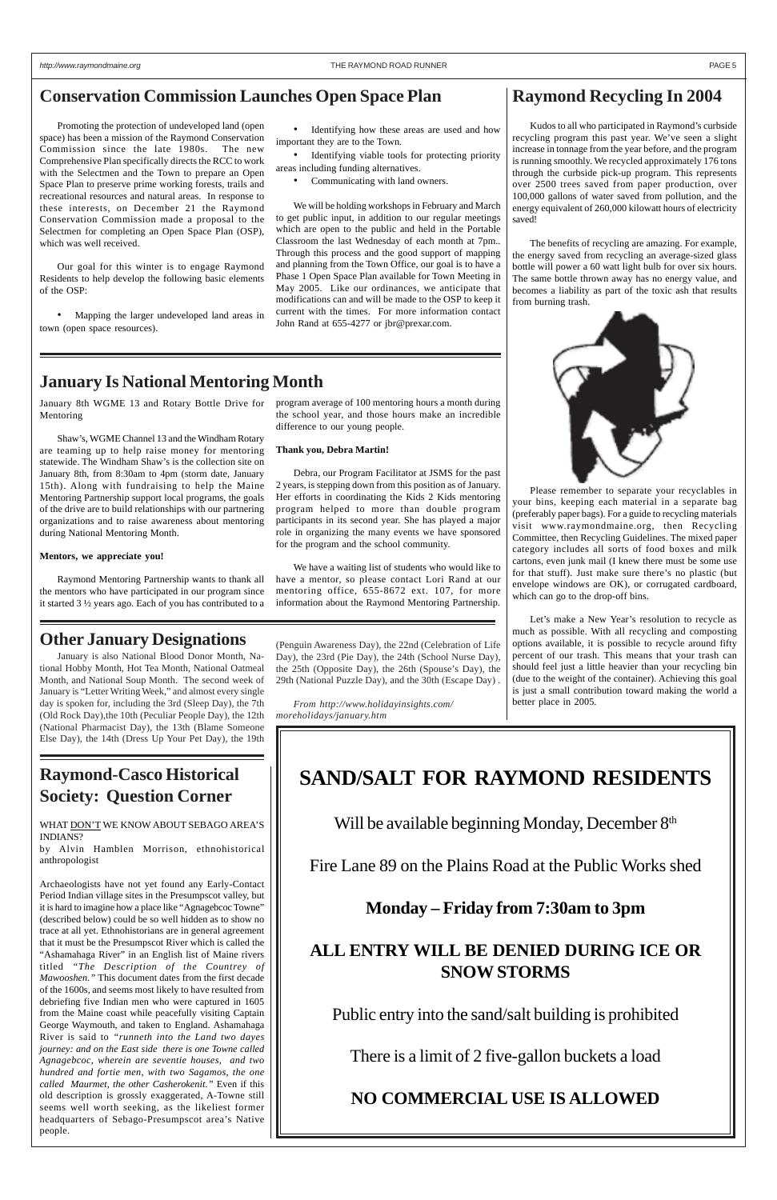Promoting the protection of undeveloped land (open space) has been a mission of the Raymond Conservation Commission since the late 1980s. The new Comprehensive Plan specifically directs the RCC to work with the Selectmen and the Town to prepare an Open Space Plan to preserve prime working forests, trails and recreational resources and natural areas. In response to these interests, on December 21 the Raymond Conservation Commission made a proposal to the Selectmen for completing an Open Space Plan (OSP), which was well received.

Our goal for this winter is to engage Raymond Residents to help develop the following basic elements of the OSP:

• Mapping the larger undeveloped land areas in town (open space resources).

### **Raymond Recycling In 2004**

Kudos to all who participated in Raymond's curbside recycling program this past year. We've seen a slight increase in tonnage from the year before, and the program is running smoothly. We recycled approximately 176 tons through the curbside pick-up program. This represents over 2500 trees saved from paper production, over 100,000 gallons of water saved from pollution, and the energy equivalent of 260,000 kilowatt hours of electricity saved!

The benefits of recycling are amazing. For example, the energy saved from recycling an average-sized glass bottle will power a 60 watt light bulb for over six hours. The same bottle thrown away has no energy value, and becomes a liability as part of the toxic ash that results from burning trash.



Please remember to separate your recyclables in your bins, keeping each material in a separate bag (preferably paper bags). For a guide to recycling materials visit www.raymondmaine.org, then Recycling Committee, then Recycling Guidelines. The mixed paper category includes all sorts of food boxes and milk cartons, even junk mail (I knew there must be some use for that stuff). Just make sure there's no plastic (but envelope windows are OK), or corrugated cardboard, which can go to the drop-off bins.

Let's make a New Year's resolution to recycle as much as possible. With all recycling and composting options available, it is possible to recycle around fifty percent of our trash. This means that your trash can should feel just a little heavier than your recycling bin (due to the weight of the container). Achieving this goal is just a small contribution toward making the world a better place in 2005.

### **Raymond-Casco Historical Society: Question Corner**

Identifying viable tools for protecting priority areas including funding alternatives.

WHAT DON'T WE KNOW ABOUT SEBAGO AREA'S INDIANS?

by Alvin Hamblen Morrison, ethnohistorical anthropologist

Archaeologists have not yet found any Early-Contact Period Indian village sites in the Presumpscot valley, but it is hard to imagine how a place like "Agnagebcoc Towne" (described below) could be so well hidden as to show no trace at all yet. Ethnohistorians are in general agreement that it must be the Presumpscot River which is called the "Ashamahaga River" in an English list of Maine rivers titled *"The Description of the Countrey of Mawooshen."* This document dates from the first decade of the 1600s, and seems most likely to have resulted from debriefing five Indian men who were captured in 1605 from the Maine coast while peacefully visiting Captain George Waymouth, and taken to England. Ashamahaga River is said to *"runneth into the Land two dayes journey: and on the East side there is one Towne called Agnagebcoc, wherein are seventie houses, and two hundred and fortie men, with two Sagamos, the one called Maurmet, the other Casherokenit."* Even if this old description is grossly exaggerated, A-Towne still seems well worth seeking, as the likeliest former headquarters of Sebago-Presumpscot area's Native people.

# **SAND/SALT FOR RAYMOND RESIDENTS**

Will be available beginning Monday, December 8th

Fire Lane 89 on the Plains Road at the Public Works shed

**Monday – Friday from 7:30am to 3pm**

## **ALL ENTRY WILL BE DENIED DURING ICE OR SNOW STORMS**

Public entry into the sand/salt building is prohibited

There is a limit of 2 five-gallon buckets a load

**NO COMMERCIAL USE IS ALLOWED**

January 8th WGME 13 and Rotary Bottle Drive for Mentoring

Shaw's, WGME Channel 13 and the Windham Rotary are teaming up to help raise money for mentoring statewide. The Windham Shaw's is the collection site on January 8th, from 8:30am to 4pm (storm date, January 15th). Along with fundraising to help the Maine Mentoring Partnership support local programs, the goals of the drive are to build relationships with our partnering organizations and to raise awareness about mentoring during National Mentoring Month.

#### **Mentors, we appreciate you!**

Raymond Mentoring Partnership wants to thank all the mentors who have participated in our program since it started 3 ½ years ago. Each of you has contributed to a

### **Conservation Commission Launches Open Space Plan**

### • Identifying how these areas are used and how important they are to the Town.

• Communicating with land owners.

We will be holding workshops in February and March to get public input, in addition to our regular meetings which are open to the public and held in the Portable Classroom the last Wednesday of each month at 7pm.. Through this process and the good support of mapping and planning from the Town Office, our goal is to have a Phase 1 Open Space Plan available for Town Meeting in May 2005. Like our ordinances, we anticipate that modifications can and will be made to the OSP to keep it current with the times. For more information contact John Rand at 655-4277 or jbr@prexar.com.

### **January Is National Mentoring Month**

#### program average of 100 mentoring hours a month during the school year, and those hours make an incredible difference to our young people.

#### **Thank you, Debra Martin!**

Debra, our Program Facilitator at JSMS for the past 2 years, is stepping down from this position as of January. Her efforts in coordinating the Kids 2 Kids mentoring program helped to more than double program participants in its second year. She has played a major role in organizing the many events we have sponsored for the program and the school community.

We have a waiting list of students who would like to have a mentor, so please contact Lori Rand at our mentoring office, 655-8672 ext. 107, for more information about the Raymond Mentoring Partnership.

### **Other January Designations**

January is also National Blood Donor Month, National Hobby Month, Hot Tea Month, National Oatmeal Month, and National Soup Month. The second week of January is "Letter Writing Week," and almost every single day is spoken for, including the 3rd (Sleep Day), the 7th (Old Rock Day),the 10th (Peculiar People Day), the 12th (National Pharmacist Day), the 13th (Blame Someone Else Day), the 14th (Dress Up Your Pet Day), the 19th

(Penguin Awareness Day), the 22nd (Celebration of Life Day), the 23rd (Pie Day), the 24th (School Nurse Day), the 25th (Opposite Day), the 26th (Spouse's Day), the 29th (National Puzzle Day), and the 30th (Escape Day) .

*From http://www.holidayinsights.com/ moreholidays/january.htm*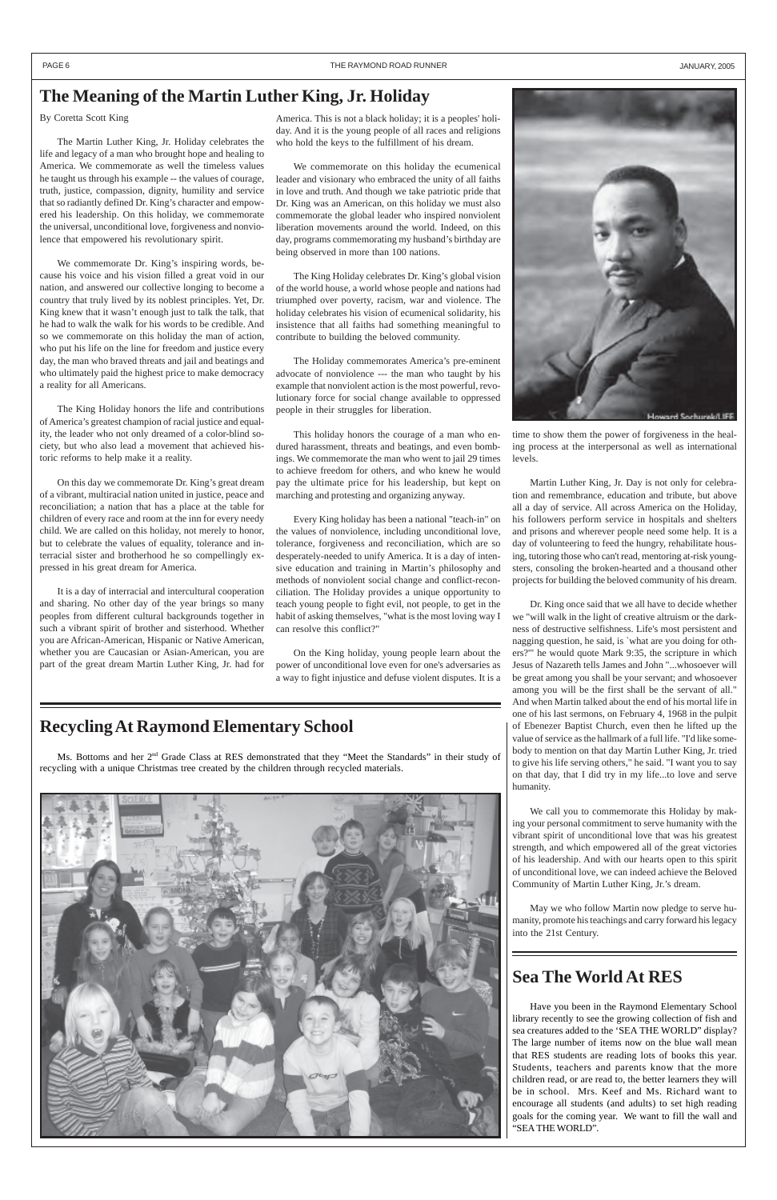Ms. Bottoms and her 2<sup>nd</sup> Grade Class at RES demonstrated that they "Meet the Standards" in their study of recycling with a unique Christmas tree created by the children through recycled materials.





### **Sea The World At RES**

Have you been in the Raymond Elementary School library recently to see the growing collection of fish and sea creatures added to the 'SEA THE WORLD" display? The large number of items now on the blue wall mean that RES students are reading lots of books this year. Students, teachers and parents know that the more children read, or are read to, the better learners they will be in school. Mrs. Keef and Ms. Richard want to encourage all students (and adults) to set high reading goals for the coming year. We want to fill the wall and "SEA THE WORLD".

### **Recycling At Raymond Elementary School**

By Coretta Scott King

The Martin Luther King, Jr. Holiday celebrates the life and legacy of a man who brought hope and healing to America. We commemorate as well the timeless values he taught us through his example -- the values of courage, truth, justice, compassion, dignity, humility and service that so radiantly defined Dr. King's character and empowered his leadership. On this holiday, we commemorate the universal, unconditional love, forgiveness and nonviolence that empowered his revolutionary spirit.

We commemorate Dr. King's inspiring words, because his voice and his vision filled a great void in our nation, and answered our collective longing to become a country that truly lived by its noblest principles. Yet, Dr. King knew that it wasn't enough just to talk the talk, that he had to walk the walk for his words to be credible. And so we commemorate on this holiday the man of action, who put his life on the line for freedom and justice every day, the man who braved threats and jail and beatings and who ultimately paid the highest price to make democracy a reality for all Americans.

The King Holiday honors the life and contributions of America's greatest champion of racial justice and equality, the leader who not only dreamed of a color-blind society, but who also lead a movement that achieved historic reforms to help make it a reality.

On this day we commemorate Dr. King's great dream of a vibrant, multiracial nation united in justice, peace and reconciliation; a nation that has a place at the table for children of every race and room at the inn for every needy child. We are called on this holiday, not merely to honor, but to celebrate the values of equality, tolerance and interracial sister and brotherhood he so compellingly expressed in his great dream for America.

It is a day of interracial and intercultural cooperation and sharing. No other day of the year brings so many peoples from different cultural backgrounds together in such a vibrant spirit of brother and sisterhood. Whether you are African-American, Hispanic or Native American, whether you are Caucasian or Asian-American, you are part of the great dream Martin Luther King, Jr. had for

America. This is not a black holiday; it is a peoples' holiday. And it is the young people of all races and religions who hold the keys to the fulfillment of his dream.

We commemorate on this holiday the ecumenical leader and visionary who embraced the unity of all faiths in love and truth. And though we take patriotic pride that Dr. King was an American, on this holiday we must also commemorate the global leader who inspired nonviolent liberation movements around the world. Indeed, on this day, programs commemorating my husband's birthday are being observed in more than 100 nations.

The King Holiday celebrates Dr. King's global vision of the world house, a world whose people and nations had triumphed over poverty, racism, war and violence. The holiday celebrates his vision of ecumenical solidarity, his insistence that all faiths had something meaningful to contribute to building the beloved community.

The Holiday commemorates America's pre-eminent advocate of nonviolence --- the man who taught by his example that nonviolent action is the most powerful, revolutionary force for social change available to oppressed people in their struggles for liberation.

This holiday honors the courage of a man who endured harassment, threats and beatings, and even bombings. We commemorate the man who went to jail 29 times to achieve freedom for others, and who knew he would pay the ultimate price for his leadership, but kept on marching and protesting and organizing anyway.

Every King holiday has been a national "teach-in" on the values of nonviolence, including unconditional love, tolerance, forgiveness and reconciliation, which are so desperately-needed to unify America. It is a day of intensive education and training in Martin's philosophy and methods of nonviolent social change and conflict-reconciliation. The Holiday provides a unique opportunity to teach young people to fight evil, not people, to get in the habit of asking themselves, "what is the most loving way I can resolve this conflict?"

On the King holiday, young people learn about the power of unconditional love even for one's adversaries as a way to fight injustice and defuse violent disputes. It is a time to show them the power of forgiveness in the healing process at the interpersonal as well as international levels.

Martin Luther King, Jr. Day is not only for celebration and remembrance, education and tribute, but above all a day of service. All across America on the Holiday, his followers perform service in hospitals and shelters and prisons and wherever people need some help. It is a day of volunteering to feed the hungry, rehabilitate housing, tutoring those who can't read, mentoring at-risk youngsters, consoling the broken-hearted and a thousand other projects for building the beloved community of his dream.

Dr. King once said that we all have to decide whether we "will walk in the light of creative altruism or the darkness of destructive selfishness. Life's most persistent and nagging question, he said, is `what are you doing for others?'" he would quote Mark 9:35, the scripture in which Jesus of Nazareth tells James and John "...whosoever will be great among you shall be your servant; and whosoever among you will be the first shall be the servant of all." And when Martin talked about the end of his mortal life in one of his last sermons, on February 4, 1968 in the pulpit of Ebenezer Baptist Church, even then he lifted up the value of service as the hallmark of a full life. "I'd like somebody to mention on that day Martin Luther King, Jr. tried to give his life serving others," he said. "I want you to say on that day, that I did try in my life...to love and serve humanity.

We call you to commemorate this Holiday by making your personal commitment to serve humanity with the vibrant spirit of unconditional love that was his greatest strength, and which empowered all of the great victories of his leadership. And with our hearts open to this spirit of unconditional love, we can indeed achieve the Beloved

Community of Martin Luther King, Jr.'s dream.

May we who follow Martin now pledge to serve humanity, promote his teachings and carry forward his legacy into the 21st Century.

### **The Meaning of the Martin Luther King, Jr. Holiday**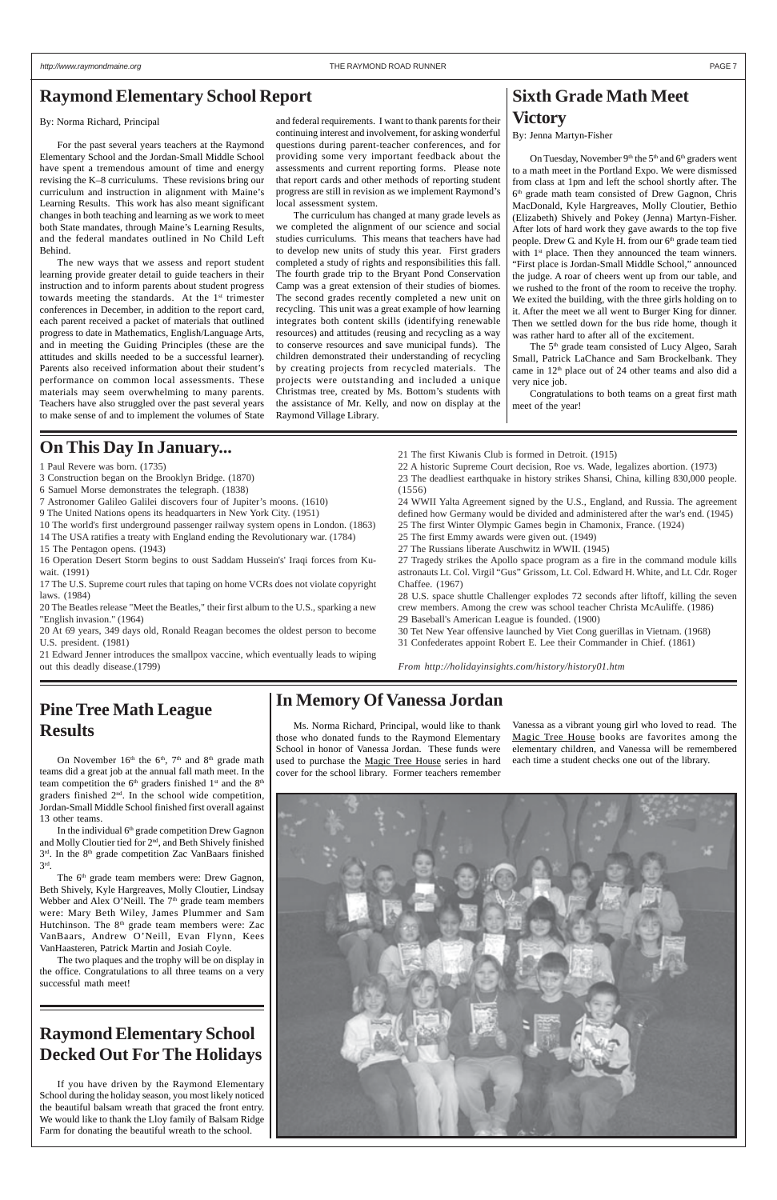Ms. Norma Richard, Principal, would like to thank those who donated funds to the Raymond Elementary School in honor of Vanessa Jordan. These funds were used to purchase the Magic Tree House series in hard cover for the school library. Former teachers remember

### **Raymond Elementary School Decked Out For The Holidays**

If you have driven by the Raymond Elementary School during the holiday season, you most likely noticed the beautiful balsam wreath that graced the front entry. We would like to thank the Lloy family of Balsam Ridge Farm for donating the beautiful wreath to the school.

#### By: Norma Richard, Principal

For the past several years teachers at the Raymond Elementary School and the Jordan-Small Middle School have spent a tremendous amount of time and energy revising the K–8 curriculums. These revisions bring our curriculum and instruction in alignment with Maine's Learning Results. This work has also meant significant changes in both teaching and learning as we work to meet both State mandates, through Maine's Learning Results, and the federal mandates outlined in No Child Left Behind.

The new ways that we assess and report student learning provide greater detail to guide teachers in their instruction and to inform parents about student progress towards meeting the standards. At the 1<sup>st</sup> trimester conferences in December, in addition to the report card, each parent received a packet of materials that outlined progress to date in Mathematics, English/Language Arts, and in meeting the Guiding Principles (these are the attitudes and skills needed to be a successful learner). Parents also received information about their student's performance on common local assessments. These materials may seem overwhelming to many parents. Teachers have also struggled over the past several years to make sense of and to implement the volumes of State

On November 16<sup>th</sup> the 6<sup>th</sup>, 7<sup>th</sup> and 8<sup>th</sup> grade math teams did a great job at the annual fall math meet. In the team competition the 6<sup>th</sup> graders finished 1<sup>st</sup> and the 8<sup>th</sup> graders finished 2nd. In the school wide competition, Jordan-Small Middle School finished first overall against 13 other teams.

In the individual 6<sup>th</sup> grade competition Drew Gagnon and Molly Cloutier tied for 2<sup>nd</sup>, and Beth Shively finished 3<sup>rd</sup>. In the 8<sup>th</sup> grade competition Zac VanBaars finished 3rd.

The 6<sup>th</sup> grade team members were: Drew Gagnon,

and federal requirements. I want to thank parents for their continuing interest and involvement, for asking wonderful questions during parent-teacher conferences, and for providing some very important feedback about the assessments and current reporting forms. Please note that report cards and other methods of reporting student progress are still in revision as we implement Raymond's local assessment system.

On Tuesday, November  $9<sup>th</sup>$  the  $5<sup>th</sup>$  and  $6<sup>th</sup>$  graders went to a math meet in the Portland Expo. We were dismissed from class at 1pm and left the school shortly after. The 6<sup>th</sup> grade math team consisted of Drew Gagnon, Chris MacDonald, Kyle Hargreaves, Molly Cloutier, Bethio (Elizabeth) Shively and Pokey (Jenna) Martyn-Fisher. After lots of hard work they gave awards to the top five people. Drew G. and Kyle H. from our 6<sup>th</sup> grade team tied with  $1<sup>st</sup>$  place. Then they announced the team winners. "First place is Jordan-Small Middle School," announced the judge. A roar of cheers went up from our table, and we rushed to the front of the room to receive the trophy. We exited the building, with the three girls holding on to it. After the meet we all went to Burger King for dinner. Then we settled down for the bus ride home, though it was rather hard to after all of the excitement.

The curriculum has changed at many grade levels as we completed the alignment of our science and social studies curriculums. This means that teachers have had to develop new units of study this year. First graders completed a study of rights and responsibilities this fall. The fourth grade trip to the Bryant Pond Conservation Camp was a great extension of their studies of biomes. The second grades recently completed a new unit on recycling. This unit was a great example of how learning integrates both content skills (identifying renewable resources) and attitudes (reusing and recycling as a way to conserve resources and save municipal funds). The children demonstrated their understanding of recycling by creating projects from recycled materials. The projects were outstanding and included a unique Christmas tree, created by Ms. Bottom's students with the assistance of Mr. Kelly, and now on display at the Raymond Village Library.

The 5<sup>th</sup> grade team consisted of Lucy Algeo, Sarah Small, Patrick LaChance and Sam Brockelbank. They came in 12<sup>th</sup> place out of 24 other teams and also did a very nice job.

### **Raymond Elementary School Report**

### **In Memory Of Vanessa Jordan**

Vanessa as a vibrant young girl who loved to read. The Magic Tree House books are favorites among the elementary children, and Vanessa will be remembered each time a student checks one out of the library.



### **Pine Tree Math League Results**

Beth Shively, Kyle Hargreaves, Molly Cloutier, Lindsay Webber and Alex O'Neill. The 7<sup>th</sup> grade team members were: Mary Beth Wiley, James Plummer and Sam Hutchinson. The 8th grade team members were: Zac VanBaars, Andrew O'Neill, Evan Flynn, Kees VanHaasteren, Patrick Martin and Josiah Coyle.

The two plaques and the trophy will be on display in the office. Congratulations to all three teams on a very successful math meet!

### **Sixth Grade Math Meet Victory**

By: Jenna Martyn-Fisher

Congratulations to both teams on a great first math meet of the year!

1 Paul Revere was born. (1735)

- 3 Construction began on the Brooklyn Bridge. (1870)
- 6 Samuel Morse demonstrates the telegraph. (1838)
- 7 Astronomer Galileo Galilei discovers four of Jupiter's moons. (1610)
- 9 The United Nations opens its headquarters in New York City. (1951)
- 10 The world's first underground passenger railway system opens in London. (1863)
- 14 The USA ratifies a treaty with England ending the Revolutionary war. (1784)
- 15 The Pentagon opens. (1943)
- 16 Operation Desert Storm begins to oust Saddam Hussein's' Iraqi forces from Kuwait. (1991)

17 The U.S. Supreme court rules that taping on home VCRs does not violate copyright laws. (1984)

20 The Beatles release "Meet the Beatles," their first album to the U.S., sparking a new "English invasion." (1964)

20 At 69 years, 349 days old, Ronald Reagan becomes the oldest person to become U.S. president. (1981)

21 Edward Jenner introduces the smallpox vaccine, which eventually leads to wiping out this deadly disease.(1799)

21 The first Kiwanis Club is formed in Detroit. (1915)

22 A historic Supreme Court decision, Roe vs. Wade, legalizes abortion. (1973)

23 The deadliest earthquake in history strikes Shansi, China, killing 830,000 people. (1556)

24 WWII Yalta Agreement signed by the U.S., England, and Russia. The agreement defined how Germany would be divided and administered after the war's end. (1945) 25 The first Winter Olympic Games begin in Chamonix, France. (1924)

- 25 The first Emmy awards were given out. (1949)
- 27 The Russians liberate Auschwitz in WWII. (1945)

27 Tragedy strikes the Apollo space program as a fire in the command module kills astronauts Lt. Col. Virgil "Gus" Grissom, Lt. Col. Edward H. White, and Lt. Cdr. Roger Chaffee. (1967)

28 U.S. space shuttle Challenger explodes 72 seconds after liftoff, killing the seven crew members. Among the crew was school teacher Christa McAuliffe. (1986) 29 Baseball's American League is founded. (1900)

30 Tet New Year offensive launched by Viet Cong guerillas in Vietnam. (1968) 31 Confederates appoint Robert E. Lee their Commander in Chief. (1861)

*From http://holidayinsights.com/history/history01.htm*

### **On This Day In January...**